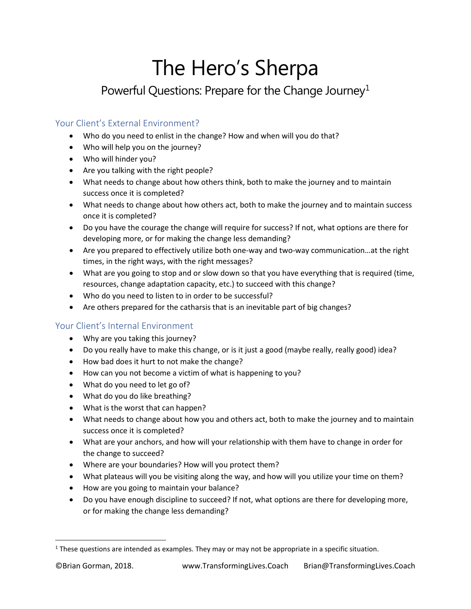# The Hero's Sherpa

## Powerful Questions: Prepare for the Change Journey<sup>[1](#page-0-0)</sup>

#### Your Client's External Environment?

- Who do you need to enlist in the change? How and when will you do that?
- Who will help you on the journey?
- Who will hinder you?
- Are you talking with the right people?
- What needs to change about how others think, both to make the journey and to maintain success once it is completed?
- What needs to change about how others act, both to make the journey and to maintain success once it is completed?
- Do you have the courage the change will require for success? If not, what options are there for developing more, or for making the change less demanding?
- Are you prepared to effectively utilize both one-way and two-way communication…at the right times, in the right ways, with the right messages?
- What are you going to stop and or slow down so that you have everything that is required (time, resources, change adaptation capacity, etc.) to succeed with this change?
- Who do you need to listen to in order to be successful?
- Are others prepared for the catharsis that is an inevitable part of big changes?

### Your Client's Internal Environment

- Why are you taking this journey?
- Do you really have to make this change, or is it just a good (maybe really, really good) idea?
- How bad does it hurt to not make the change?
- How can you not become a victim of what is happening to you?
- What do you need to let go of?
- What do you do like breathing?
- What is the worst that can happen?
- What needs to change about how you and others act, both to make the journey and to maintain success once it is completed?
- What are your anchors, and how will your relationship with them have to change in order for the change to succeed?
- Where are your boundaries? How will you protect them?
- What plateaus will you be visiting along the way, and how will you utilize your time on them?
- How are you going to maintain your balance?
- Do you have enough discipline to succeed? If not, what options are there for developing more, or for making the change less demanding?

<span id="page-0-0"></span> $1$  These questions are intended as examples. They may or may not be appropriate in a specific situation.